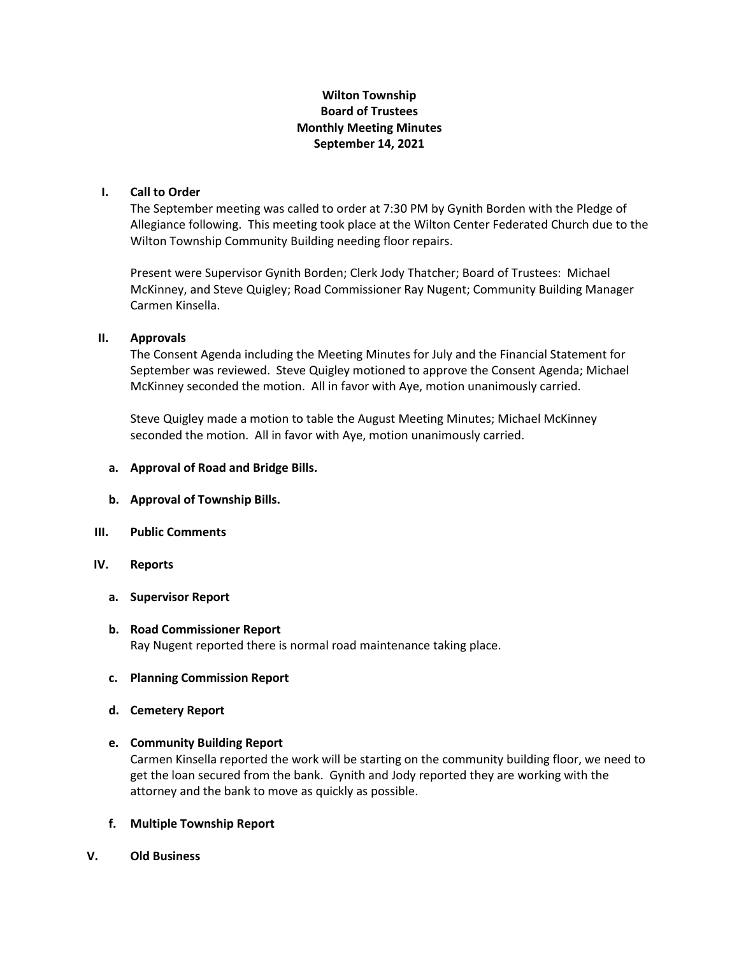## **Wilton Township Board of Trustees Monthly Meeting Minutes September 14, 2021**

## **I. Call to Order**

The September meeting was called to order at 7:30 PM by Gynith Borden with the Pledge of Allegiance following. This meeting took place at the Wilton Center Federated Church due to the Wilton Township Community Building needing floor repairs.

Present were Supervisor Gynith Borden; Clerk Jody Thatcher; Board of Trustees: Michael McKinney, and Steve Quigley; Road Commissioner Ray Nugent; Community Building Manager Carmen Kinsella.

## **II. Approvals**

The Consent Agenda including the Meeting Minutes for July and the Financial Statement for September was reviewed. Steve Quigley motioned to approve the Consent Agenda; Michael McKinney seconded the motion. All in favor with Aye, motion unanimously carried.

Steve Quigley made a motion to table the August Meeting Minutes; Michael McKinney seconded the motion. All in favor with Aye, motion unanimously carried.

### **a. Approval of Road and Bridge Bills.**

- **b. Approval of Township Bills.**
- **III. Public Comments**

## **IV. Reports**

**a. Supervisor Report**

# **b. Road Commissioner Report** Ray Nugent reported there is normal road maintenance taking place.

### **c. Planning Commission Report**

**d. Cemetery Report**

### **e. Community Building Report**

Carmen Kinsella reported the work will be starting on the community building floor, we need to get the loan secured from the bank. Gynith and Jody reported they are working with the attorney and the bank to move as quickly as possible.

- **f. Multiple Township Report**
- **V. Old Business**